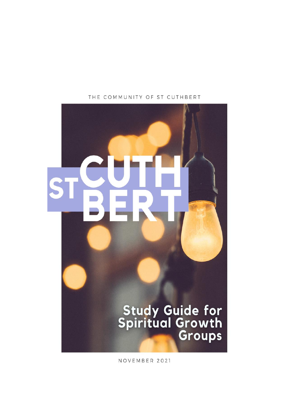

THE COMMUNITY OF ST CUTHBERT

NOVEMBER 2021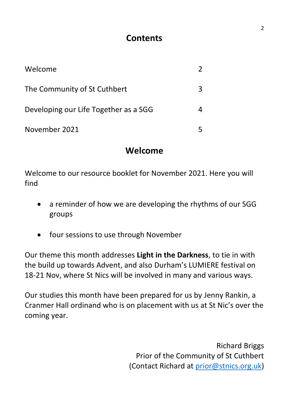## **Contents**

| Welcome                               |  |
|---------------------------------------|--|
| The Community of St Cuthbert          |  |
| Developing our Life Together as a SGG |  |
| November 2021                         |  |

### **Welcome**

Welcome to our resource booklet for November 2021. Here you will find

- a reminder of how we are developing the rhythms of our SGG groups
- four sessions to use through November

Our theme this month addresses **Light in the Darkness**, to tie in with the build up towards Advent, and also Durham's LUMIERE festival on 18-21 Nov, where St Nics will be involved in many and various ways.

Our studies this month have been prepared for us by Jenny Rankin, a Cranmer Hall ordinand who is on placement with us at St Nic's over the coming year.

> Richard Briggs Prior of the Community of St Cuthbert (Contact Richard at [prior@stnics.org.uk\)](mailto:prior@stnics.org.uk)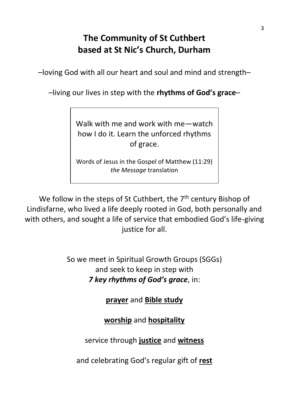# **The Community of St Cuthbert based at St Nic's Church, Durham**

–loving God with all our heart and soul and mind and strength–

–living our lives in step with the **rhythms of God's grace**–

Walk with me and work with me—watch how I do it. Learn the unforced rhythms of grace.

Words of Jesus in the Gospel of Matthew (11:29) *the Message* translation

We follow in the steps of St Cuthbert, the  $7<sup>th</sup>$  century Bishop of Lindisfarne, who lived a life deeply rooted in God, both personally and with others, and sought a life of service that embodied God's life-giving justice for all.

> So we meet in Spiritual Growth Groups (SGGs) and seek to keep in step with *7 key rhythms of God's grace*, in:

> > **prayer** and **Bible study**

**worship** and **hospitality**

service through **justice** and **witness**

and celebrating God's regular gift of **rest**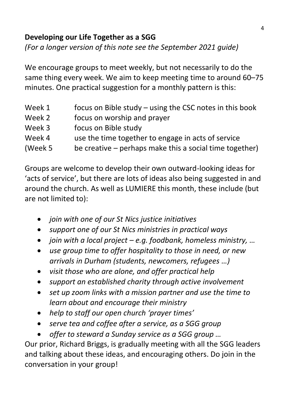### **Developing our Life Together as a SGG**

*(For a longer version of this note see the September 2021 guide)*

We encourage groups to meet weekly, but not necessarily to do the same thing every week. We aim to keep meeting time to around 60–75 minutes. One practical suggestion for a monthly pattern is this:

| Week 1   | focus on Bible study - using the CSC notes in this book |
|----------|---------------------------------------------------------|
| Week 2   | focus on worship and prayer                             |
| Week 3   | focus on Bible study                                    |
| Week 4   | use the time together to engage in acts of service      |
| (Week 5) | be creative – perhaps make this a social time together) |

Groups are welcome to develop their own outward-looking ideas for 'acts of service', but there are lots of ideas also being suggested in and around the church. As well as LUMIERE this month, these include (but are not limited to):

- *join with one of our St Nics justice initiatives*
- *support one of our St Nics ministries in practical ways*
- *join with a local project – e.g. foodbank, homeless ministry, …*
- *use group time to offer hospitality to those in need, or new arrivals in Durham (students, newcomers, refugees …)*
- *visit those who are alone, and offer practical help*
- *support an established charity through active involvement*
- *set up zoom links with a mission partner and use the time to learn about and encourage their ministry*
- *help to staff our open church 'prayer times'*
- *serve tea and coffee after a service, as a SGG group*
- *offer to steward a Sunday service as a SGG group …*

Our prior, Richard Briggs, is gradually meeting with all the SGG leaders and talking about these ideas, and encouraging others. Do join in the conversation in your group!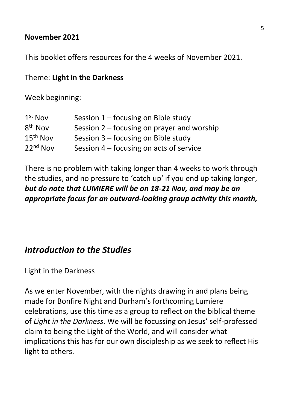#### **November 2021**

This booklet offers resources for the 4 weeks of November 2021.

#### Theme: **Light in the Darkness**

Week beginning:

| $1st$ Nov            | Session $1$ – focusing on Bible study      |
|----------------------|--------------------------------------------|
| $8th$ Nov            | Session 2 - focusing on prayer and worship |
| $15th$ Nov           | Session $3$ – focusing on Bible study      |
| 22 <sup>nd</sup> Nov | Session 4 – focusing on acts of service    |

There is no problem with taking longer than 4 weeks to work through the studies, and no pressure to 'catch up' if you end up taking longer, *but do note that LUMIERE will be on 18-21 Nov, and may be an appropriate focus for an outward-looking group activity this month,*

### *Introduction to the Studies*

Light in the Darkness

As we enter November, with the nights drawing in and plans being made for Bonfire Night and Durham's forthcoming Lumiere celebrations, use this time as a group to reflect on the biblical theme of *Light in the Darkness*. We will be focussing on Jesus' self-professed claim to being the Light of the World, and will consider what implications this has for our own discipleship as we seek to reflect His light to others.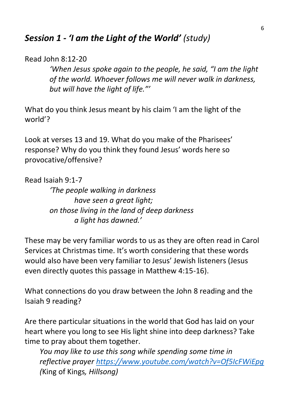## *Session 1 - 'I am the Light of the World' (study)*

### Read John 8:12-20

*'When Jesus spoke again to the people, he said, "I am the light of the world. Whoever follows me will never walk in darkness, but will have the light of life."'*

What do you think Jesus meant by his claim 'I am the light of the world'?

Look at verses 13 and 19. What do you make of the Pharisees' response? Why do you think they found Jesus' words here so provocative/offensive?

Read Isaiah 9:1-7

*'The people walking in darkness have seen a great light; on those living in the land of deep darkness a light has dawned.'*

These may be very familiar words to us as they are often read in Carol Services at Christmas time. It's worth considering that these words would also have been very familiar to Jesus' Jewish listeners (Jesus even directly quotes this passage in Matthew 4:15-16).

What connections do you draw between the John 8 reading and the Isaiah 9 reading?

Are there particular situations in the world that God has laid on your heart where you long to see His light shine into deep darkness? Take time to pray about them together.

*You may like to use this song while spending some time in reflective prayer<https://www.youtube.com/watch?v=Of5IcFWiEpg> (*King of Kings*, Hillsong)*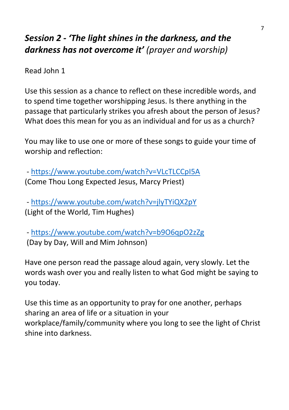# *Session 2 - 'The light shines in the darkness, and the darkness has not overcome it' (prayer and worship)*

Read John 1

Use this session as a chance to reflect on these incredible words, and to spend time together worshipping Jesus. Is there anything in the passage that particularly strikes you afresh about the person of Jesus? What does this mean for you as an individual and for us as a church?

You may like to use one or more of these songs to guide your time of worship and reflection:

- <https://www.youtube.com/watch?v=VLcTLCCpI5A> (Come Thou Long Expected Jesus, Marcy Priest)

- <https://www.youtube.com/watch?v=jlyTYiQX2pY> (Light of the World, Tim Hughes)

- <https://www.youtube.com/watch?v=b9O6qpO2zZg> (Day by Day, Will and Mim Johnson)

Have one person read the passage aloud again, very slowly. Let the words wash over you and really listen to what God might be saying to you today.

Use this time as an opportunity to pray for one another, perhaps sharing an area of life or a situation in your workplace/family/community where you long to see the light of Christ shine into darkness.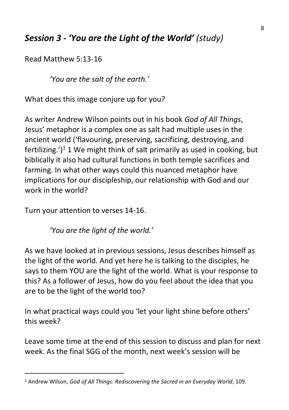# *Session 3 - 'You are the Light of the World' (study)*

Read Matthew 5:13-16

*'You are the salt of the earth.'*

What does this image conjure up for you?

As writer Andrew Wilson points out in his book *God of All Things*, Jesus' metaphor is a complex one as salt had multiple uses in the ancient world ('flavouring, preserving, sacrificing, destroying, and fertilizing.')<sup>1</sup> 1 We might think of salt primarily as used in cooking, but biblically it also had cultural functions in both temple sacrifices and farming. In what other ways could this nuanced metaphor have implications for our discipleship, our relationship with God and our work in the world?

Turn your attention to verses 14-16.

*'You are the light of the world.'*

As we have looked at in previous sessions, Jesus describes himself as the light of the world. And yet here he is talking to the disciples, he says to them YOU are the light of the world. What is your response to this? As a follower of Jesus, how do you feel about the idea that you are to be the light of the world too?

In what practical ways could you 'let your light shine before others' this week?

Leave some time at the end of this session to discuss and plan for next week. As the final SGG of the month, next week's session will be

<sup>1</sup> Andrew Wilson, *God of All Things: Rediscovering the Sacred in an Everyday World*, 109.